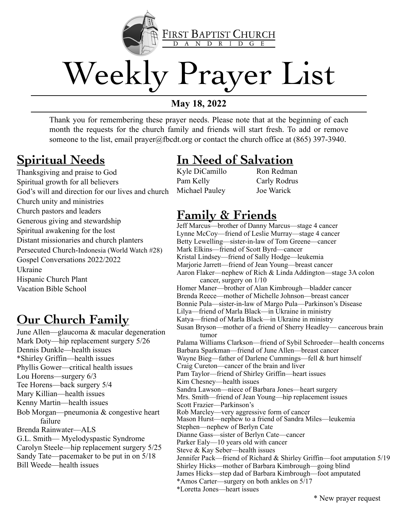

# Weekly Prayer List

**May 18, 2022**

Thank you for remembering these prayer needs. Please note that at the beginning of each month the requests for the church family and friends will start fresh. To add or remove someone to the list, email prayer@fbcdt.org or contact the church office at (865) 397-3940.

#### **Spiritual Needs**

Thanksgiving and praise to God Spiritual growth for all believers God's will and direction for our lives and church Church unity and ministries Church pastors and leaders Generous giving and stewardship Spiritual awakening for the lost Distant missionaries and church planters Persecuted Church-Indonesia (World Watch #28) Gospel Conversations 2022/2022 Ukraine Hispanic Church Plant Vacation Bible School

#### **Our Church Family**

June Allen—glaucoma & macular degeneration Mark Doty—hip replacement surgery 5/26 Dennis Dunkle—health issues \*Shirley Griffin—health issues Phyllis Gower—critical health issues Lou Horens—surgery 6/3 Tee Horens—back surgery 5/4 Mary Killian—health issues Kenny Martin—health issues Bob Morgan—pneumonia & congestive heart failure Brenda Rainwater—ALS G.L. Smith— Myelodyspastic Syndrome Carolyn Steele—hip replacement surgery 5/25 Sandy Tate—pacemaker to be put in on 5/18 Bill Weede—health issues

#### **In Need of Salvation**

Kyle DiCamillo Pam Kelly Michael Pauley

Ron Redman Carly Rodrus Joe Warick

#### **Family & Friends**

Jeff Marcus—brother of Danny Marcus—stage 4 cancer Lynne McCoy—friend of Leslie Murray—stage 4 cancer Betty Lewelling—sister-in-law of Tom Greene—cancer Mark Elkins—friend of Scott Byrd—cancer Kristal Lindsey—friend of Sally Hodge—leukemia Marjorie Jarrett—friend of Jean Young—breast cancer Aaron Flaker—nephew of Rich & Linda Addington—stage 3A colon cancer, surgery on 1/10 Homer Maner—brother of Alan Kimbrough—bladder cancer Brenda Reece—mother of Michelle Johnson—breast cancer Bonnie Pula—sister-in-law of Margo Pula—Parkinson's Disease Lilya—friend of Marla Black—in Ukraine in ministry Katya—friend of Marla Black—in Ukraine in ministry Susan Bryson—mother of a friend of Sherry Headley— cancerous brain tumor Palama Williams Clarkson—friend of Sybil Schroeder—health concerns Barbara Sparkman—friend of June Allen—breast cancer Wayne Bieg—father of Darlene Cummings—fell & hurt himself Craig Cureton—cancer of the brain and liver Pam Taylor—friend of Shirley Griffin—heart issues Kim Chesney—health issues Sandra Lawson—niece of Barbara Jones—heart surgery Mrs. Smith—friend of Jean Young—hip replacement issues Scott Frazier—Parkinson's Rob Marcley—very aggressive form of cancer Mason Hurst—nephew to a friend of Sandra Miles—leukemia Stephen—nephew of Berlyn Cate Dianne Gass—sister of Berlyn Cate—cancer Parker Ealy—10 years old with cancer Steve & Kay Seber—health issues Jennifer Pack—friend of Richard & Shirley Griffin—foot amputation 5/19 Shirley Hicks—mother of Barbara Kimbrough—going blind James Hicks—step dad of Barbara Kimbrough—foot amputated \*Amos Carter—surgery on both ankles on 5/17 \*Loretta Jones—heart issues